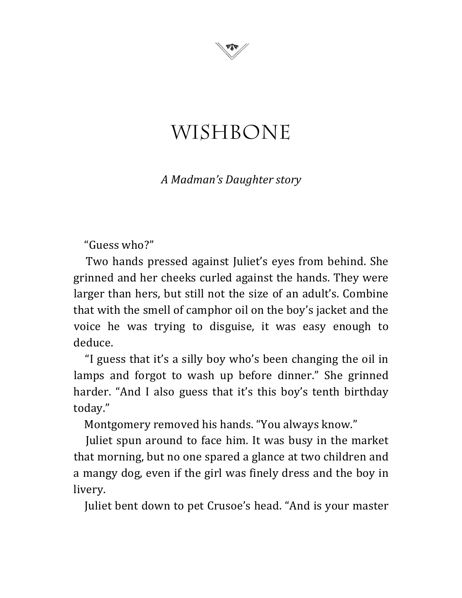

## WISHBONE

*A Madman's Daughter story*

"Guess who?"

Two hands pressed against Juliet's eyes from behind. She grinned and her cheeks curled against the hands. They were larger than hers, but still not the size of an adult's. Combine that with the smell of camphor oil on the boy's jacket and the voice he was trying to disguise, it was easy enough to deduce.

"I guess that it's a silly boy who's been changing the oil in lamps and forgot to wash up before dinner." She grinned harder. "And I also guess that it's this boy's tenth birthday today."

Montgomery removed his hands. "You always know."

Juliet spun around to face him. It was busy in the market that morning, but no one spared a glance at two children and a mangy dog, even if the girl was finely dress and the boy in livery.

Juliet bent down to pet Crusoe's head. "And is your master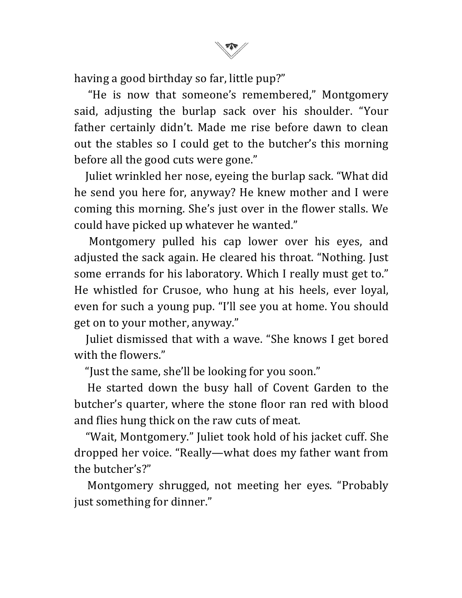having a good birthday so far, little pup?"

"He is now that someone's remembered," Montgomery said, adjusting the burlap sack over his shoulder. "Your father certainly didn't. Made me rise before dawn to clean out the stables so I could get to the butcher's this morning before all the good cuts were gone."

Juliet wrinkled her nose, eyeing the burlap sack. "What did he send you here for, anyway? He knew mother and I were coming this morning. She's just over in the flower stalls. We could have picked up whatever he wanted."

Montgomery pulled his cap lower over his eyes, and adjusted the sack again. He cleared his throat. "Nothing. Just some errands for his laboratory. Which I really must get to." He whistled for Crusoe, who hung at his heels, ever loyal, even for such a young pup. "I'll see you at home. You should get on to your mother, anyway."

Juliet dismissed that with a wave. "She knows I get bored with the flowers."

"Just the same, she'll be looking for you soon."

He started down the busy hall of Covent Garden to the butcher's quarter, where the stone floor ran red with blood and flies hung thick on the raw cuts of meat.

"Wait, Montgomery." Juliet took hold of his jacket cuff. She dropped her voice. "Really—what does my father want from the butcher's?"

Montgomery shrugged, not meeting her eyes. "Probably just something for dinner."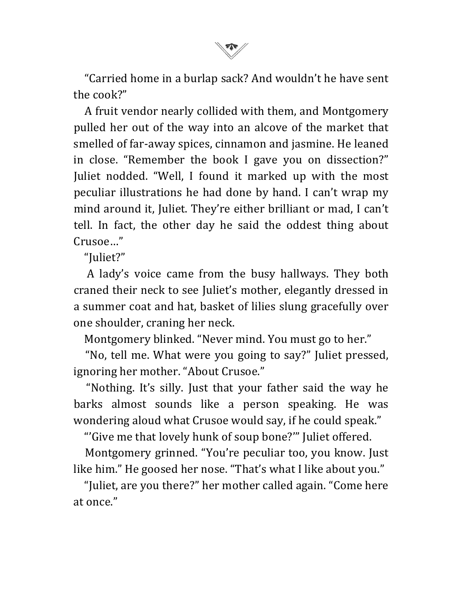"Carried home in a burlap sack? And wouldn't he have sent the cook?"

A fruit vendor nearly collided with them, and Montgomery pulled her out of the way into an alcove of the market that smelled of far-away spices, cinnamon and jasmine. He leaned in close. "Remember the book I gave you on dissection?" Juliet nodded. "Well, I found it marked up with the most peculiar illustrations he had done by hand. I can't wrap my mind around it, Juliet. They're either brilliant or mad, I can't tell. In fact, the other day he said the oddest thing about Crusoe…"

"Juliet?"

A lady's voice came from the busy hallways. They both craned their neck to see Juliet's mother, elegantly dressed in a summer coat and hat, basket of lilies slung gracefully over one shoulder, craning her neck.

Montgomery blinked. "Never mind. You must go to her."

"No, tell me. What were you going to say?" Juliet pressed, ignoring her mother. "About Crusoe."

"Nothing. It's silly. Just that your father said the way he barks almost sounds like a person speaking. He was wondering aloud what Crusoe would say, if he could speak."

"Give me that lovely hunk of soup bone?" Juliet offered.

Montgomery grinned. "You're peculiar too, you know. Just like him." He goosed her nose. "That's what I like about you."

"Juliet, are you there?" her mother called again. "Come here at once."